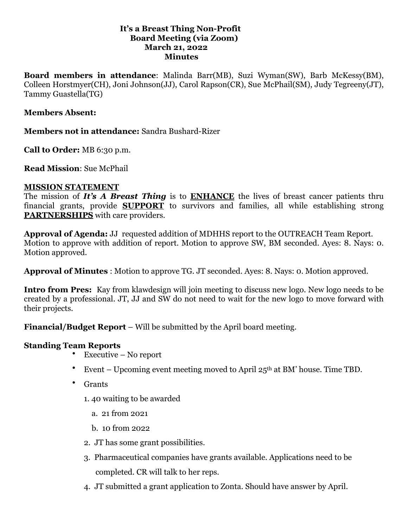#### **It's a Breast Thing Non-Profit Board Meeting (via Zoom) March 21, 2022 Minutes**

**Board members in attendance**: Malinda Barr(MB), Suzi Wyman(SW), Barb McKessy(BM), Colleen Horstmyer(CH), Joni Johnson(JJ), Carol Rapson(CR), Sue McPhail(SM), Judy Tegreeny(JT), Tammy Guastella(TG)

#### **Members Absent:**

**Members not in attendance:** Sandra Bushard-Rizer

**Call to Order:** MB 6:30 p.m.

**Read Mission**: Sue McPhail

#### **MISSION STATEMENT**

The mission of *It's A Breast Thing* is to **ENHANCE** the lives of breast cancer patients thru financial grants, provide **SUPPORT** to survivors and families, all while establishing strong **PARTNERSHIPS** with care providers.

**Approval of Agenda:** JJ requested addition of MDHHS report to the OUTREACH Team Report. Motion to approve with addition of report. Motion to approve SW, BM seconded. Ayes: 8. Nays: 0. Motion approved.

**Approval of Minutes** : Motion to approve TG. JT seconded. Ayes: 8. Nays: 0. Motion approved.

**Intro from Pres:** Kay from klawdesign will join meeting to discuss new logo. New logo needs to be created by a professional. JT, JJ and SW do not need to wait for the new logo to move forward with their projects.

**Financial/Budget Report** – Will be submitted by the April board meeting.

### **Standing Team Reports**

- Executive No report
- Event Upcoming event meeting moved to April  $25<sup>th</sup>$  at BM' house. Time TBD.
- Grants
	- 1. 40 waiting to be awarded
		- a. 21 from 2021
		- b. 10 from 2022
	- 2. JT has some grant possibilities.
	- 3. Pharmaceutical companies have grants available. Applications need to be completed. CR will talk to her reps.
	- 4. JT submitted a grant application to Zonta. Should have answer by April.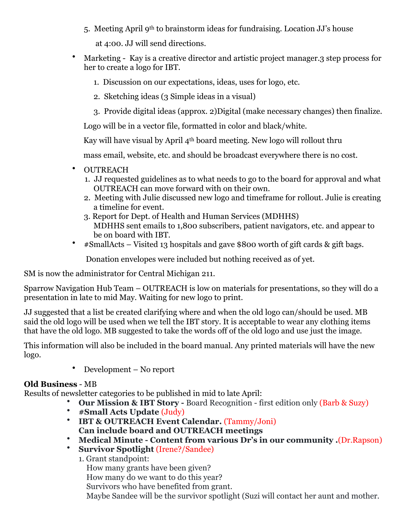5. Meeting April 9th to brainstorm ideas for fundraising. Location JJ's house

at 4:00. JJ will send directions.

- Marketing Kay is a creative director and artistic project manager. 3 step process for her to create a logo for IBT.
	- 1. Discussion on our expectations, ideas, uses for logo, etc.
	- 2. Sketching ideas (3 Simple ideas in a visual)
	- 3. Provide digital ideas (approx. 2)Digital (make necessary changes) then finalize.

Logo will be in a vector file, formatted in color and black/white.

Kay will have visual by April 4th board meeting. New logo will rollout thru

mass email, website, etc. and should be broadcast everywhere there is no cost.

- OUTREACH
	- 1. JJ requested guidelines as to what needs to go to the board for approval and what OUTREACH can move forward with on their own.
	- 2. Meeting with Julie discussed new logo and timeframe for rollout. Julie is creating a timeline for event.
	- 3. Report for Dept. of Health and Human Services (MDHHS) MDHHS sent emails to 1,800 subscribers, patient navigators, etc. and appear to be on board with IBT.
- #SmallActs Visited 13 hospitals and gave \$800 worth of gift cards & gift bags.

Donation envelopes were included but nothing received as of yet.

SM is now the administrator for Central Michigan 211.

Sparrow Navigation Hub Team – OUTREACH is low on materials for presentations, so they will do a presentation in late to mid May. Waiting for new logo to print.

JJ suggested that a list be created clarifying where and when the old logo can/should be used. MB said the old logo will be used when we tell the IBT story. It is acceptable to wear any clothing items that have the old logo. MB suggested to take the words off of the old logo and use just the image.

This information will also be included in the board manual. Any printed materials will have the new logo.

• Development – No report

# **Old Business** - MB

Results of newsletter categories to be published in mid to late April:

- **Our Mission & IBT Story** Board Recognition first edition only (Barb & Suzy)
- **#Small Acts Update** (Judy)
- **IBT & OUTREACH Event Calendar.** (Tammy/Joni) **Can include board and OUTREACH meetings**
- **Medical Minute Content from various Dr's in our community .**(Dr.Rapson)
- **Survivor Spotlight** (Irene?/Sandee) 1. Grant standpoint:

How many grants have been given?

How many do we want to do this year?

Survivors who have benefited from grant.

Maybe Sandee will be the survivor spotlight (Suzi will contact her aunt and mother.